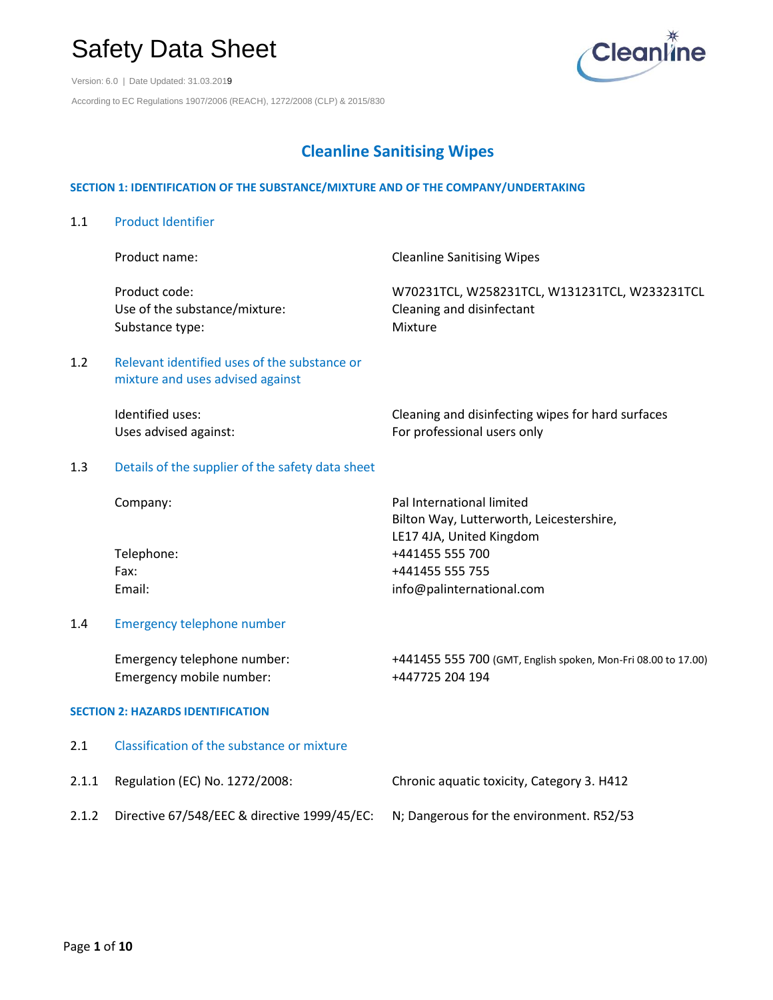Version: 6.0 | Date Updated: 31.03.2019 According to EC Regulations 1907/2006 (REACH), 1272/2008 (CLP) & 2015/830



## **Cleanline Sanitising Wipes**

#### **SECTION 1: IDENTIFICATION OF THE SUBSTANCE/MIXTURE AND OF THE COMPANY/UNDERTAKING**

1.1 Product Identifier Product name: The Cleanline Sanitising Wipes Product code: W70231TCL, W258231TCL, W131231TCL, W233231TCL Use of the substance/mixture: Cleaning and disinfectant Substance type: Mixture 1.2 Relevant identified uses of the substance or mixture and uses advised against Identified uses: Cleaning and disinfecting wipes for hard surfaces Uses advised against: The professional users only 1.3 Details of the supplier of the safety data sheet Company: Pal International limited Bilton Way, Lutterworth, Leicestershire, LE17 4JA, United Kingdom Telephone: +441455 555 700 Fax: +441455 555 755 Email: info@palinternational.com 1.4 Emergency telephone number Emergency telephone number: +441455 555 700 (GMT, English spoken, Mon-Fri 08.00 to 17.00) Emergency mobile number: +447725 204 194 **SECTION 2: HAZARDS IDENTIFICATION** 2.1 Classification of the substance or mixture 2.1.1 Regulation (EC) No. 1272/2008: Chronic aquatic toxicity, Category 3. H412 2.1.2 Directive 67/548/EEC & directive 1999/45/EC: N; Dangerous for the environment. R52/53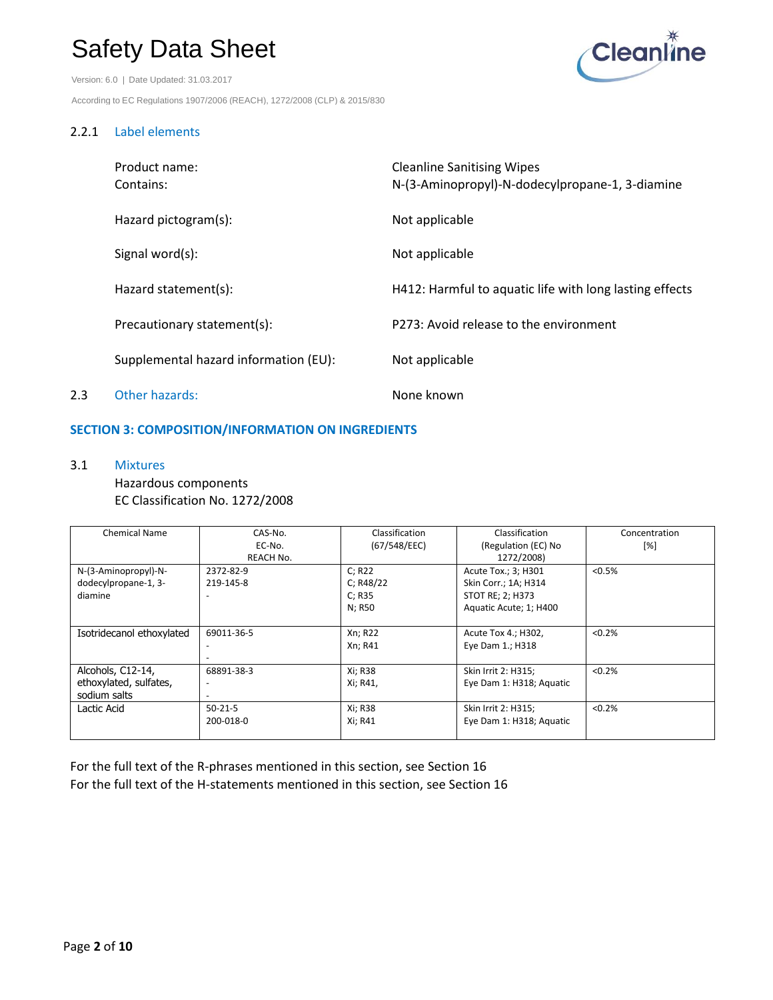Version: 6.0 | Date Updated: 31.03.2017 According to EC Regulations 1907/2006 (REACH), 1272/2008 (CLP) & 2015/830



#### 2.2.1 Label elements

|     | Product name:<br>Contains:            | <b>Cleanline Sanitising Wipes</b><br>N-(3-Aminopropyl)-N-dodecylpropane-1, 3-diamine |
|-----|---------------------------------------|--------------------------------------------------------------------------------------|
|     | Hazard pictogram(s):                  | Not applicable                                                                       |
|     | Signal word(s):                       | Not applicable                                                                       |
|     | Hazard statement(s):                  | H412: Harmful to aquatic life with long lasting effects                              |
|     | Precautionary statement(s):           | P273: Avoid release to the environment                                               |
|     | Supplemental hazard information (EU): | Not applicable                                                                       |
| 2.3 | Other hazards:                        | None known                                                                           |

#### **SECTION 3: COMPOSITION/INFORMATION ON INGREDIENTS**

3.1 Mixtures

Hazardous components EC Classification No. 1272/2008

| <b>Chemical Name</b>      | CAS-No.                  | Classification | Classification           | Concentration |
|---------------------------|--------------------------|----------------|--------------------------|---------------|
|                           | EC-No.                   | (67/548/EEC)   | (Regulation (EC) No      |               |
|                           | REACH No.                |                | 1272/2008)               |               |
| N-(3-Aminopropyl)-N-      | 2372-82-9                | C; R22         | Acute Tox.; 3; H301      | < 0.5%        |
| dodecylpropane-1, 3-      | 219-145-8                | C; R48/22      | Skin Corr.; 1A; H314     |               |
| diamine                   | ٠                        | C; R35         | STOT RE; 2; H373         |               |
|                           |                          | N; R50         | Aquatic Acute; 1; H400   |               |
|                           |                          |                |                          |               |
| Isotridecanol ethoxylated | 69011-36-5               | Xn; R22        | Acute Tox 4.; H302,      | < 0.2%        |
|                           |                          | Xn; R41        | Eye Dam 1.; H318         |               |
|                           |                          |                |                          |               |
| Alcohols, C12-14,         | 68891-38-3               | Xi; R38        | Skin Irrit 2: H315;      | < 0.2%        |
| ethoxylated, sulfates,    | ٠                        | Xi; R41,       | Eye Dam 1: H318; Aquatic |               |
| sodium salts              | $\overline{\phantom{a}}$ |                |                          |               |
| Lactic Acid               | $50-21-5$                | Xi; R38        | Skin Irrit 2: H315;      | < 0.2%        |
|                           | 200-018-0                | Xi; R41        | Eye Dam 1: H318; Aquatic |               |
|                           |                          |                |                          |               |

For the full text of the R-phrases mentioned in this section, see Section 16 For the full text of the H-statements mentioned in this section, see Section 16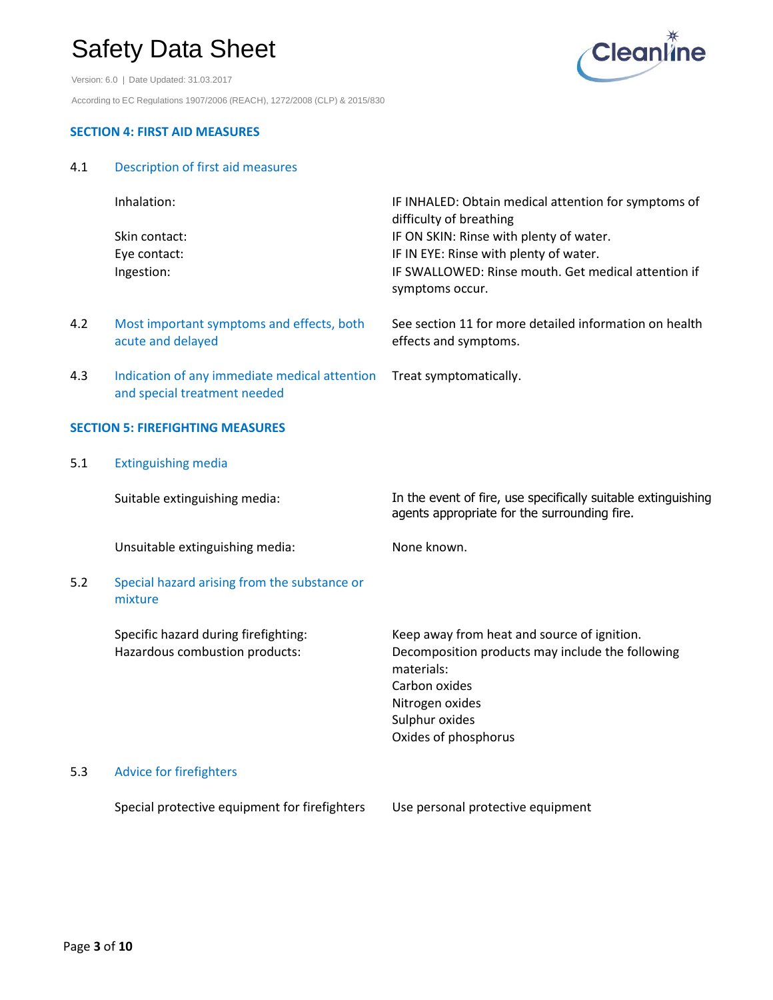



#### **SECTION 4: FIRST AID MEASURES**

4.1 Description of first aid measures

|     | Inhalation:                                                                   | IF INHALED: Obtain medical attention for symptoms of<br>difficulty of breathing                               |
|-----|-------------------------------------------------------------------------------|---------------------------------------------------------------------------------------------------------------|
|     | Skin contact:                                                                 | IF ON SKIN: Rinse with plenty of water.                                                                       |
|     | Eye contact:                                                                  | IF IN EYE: Rinse with plenty of water.                                                                        |
|     | Ingestion:                                                                    | IF SWALLOWED: Rinse mouth. Get medical attention if<br>symptoms occur.                                        |
| 4.2 | Most important symptoms and effects, both<br>acute and delayed                | See section 11 for more detailed information on health<br>effects and symptoms.                               |
| 4.3 | Indication of any immediate medical attention<br>and special treatment needed | Treat symptomatically.                                                                                        |
|     | <b>SECTION 5: FIREFIGHTING MEASURES</b>                                       |                                                                                                               |
| 5.1 | <b>Extinguishing media</b>                                                    |                                                                                                               |
|     | Suitable extinguishing media:                                                 | In the event of fire, use specifically suitable extinguishing<br>agents appropriate for the surrounding fire. |
|     | Unsuitable extinguishing media:                                               | None known.                                                                                                   |
| 5.2 | Special hazard arising from the substance or<br>mixture                       |                                                                                                               |
|     | Specific hazard during firefighting:                                          | Keep away from heat and source of ignition.                                                                   |
|     | Hazardous combustion products:                                                | Decomposition products may include the following<br>materials:                                                |
|     |                                                                               | Carbon oxides                                                                                                 |
|     |                                                                               | Nitrogen oxides                                                                                               |
|     |                                                                               | Sulphur oxides                                                                                                |
|     |                                                                               | Oxides of phosphorus                                                                                          |
| 5.3 | <b>Advice for firefighters</b>                                                |                                                                                                               |
|     |                                                                               |                                                                                                               |

Special protective equipment for firefighters Use personal protective equipment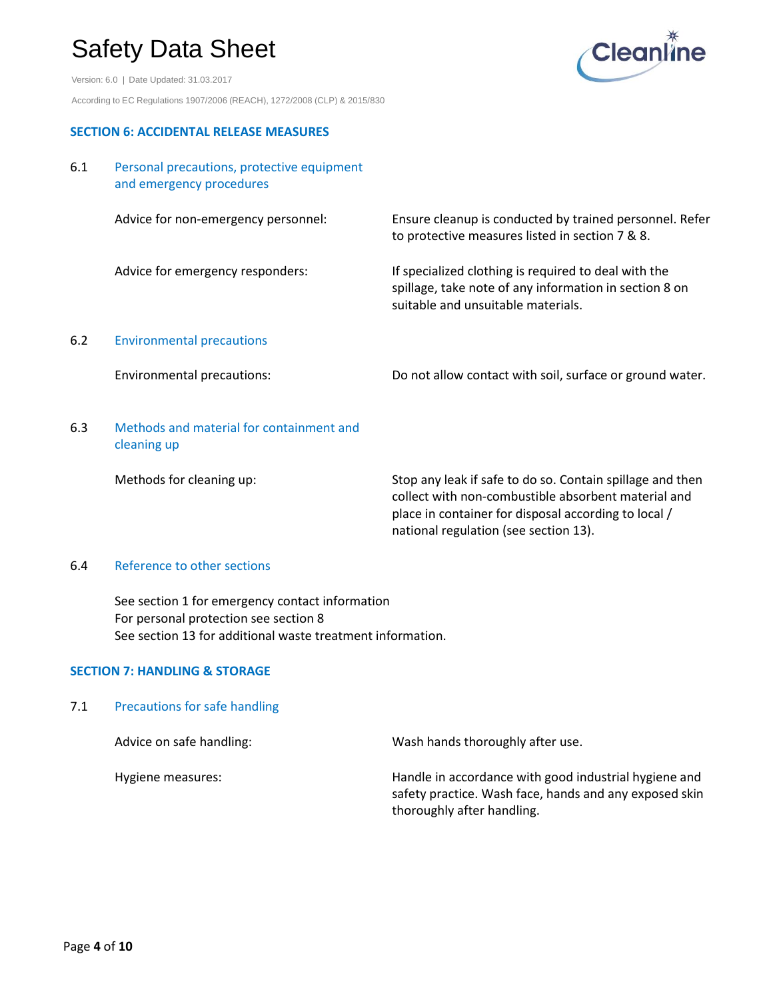Version: 6.0 | Date Updated: 31.03.2017 According to EC Regulations 1907/2006 (REACH), 1272/2008 (CLP) & 2015/830



#### **SECTION 6: ACCIDENTAL RELEASE MEASURES**

#### 6.1 Personal precautions, protective equipment and emergency procedures

|        | Advice for non-emergency personnel:      | Ensure cleanup is conducted by trained personnel. Refer<br>to protective measures listed in section 7 & 8.                                           |
|--------|------------------------------------------|------------------------------------------------------------------------------------------------------------------------------------------------------|
|        | Advice for emergency responders:         | If specialized clothing is required to deal with the<br>spillage, take note of any information in section 8 on<br>suitable and unsuitable materials. |
| 6.2    | <b>Environmental precautions</b>         |                                                                                                                                                      |
|        | <b>Environmental precautions:</b>        | Do not allow contact with soil, surface or ground water.                                                                                             |
| ี ค. ว | Methods and material for containment and |                                                                                                                                                      |

#### 6.3 Methods and material for containment and cleaning up

Methods for cleaning up: Stop any leak if safe to do so. Contain spillage and then collect with non-combustible absorbent material and place in container for disposal according to local / national regulation (see section 13).

#### 6.4 Reference to other sections

See section 1 for emergency contact information For personal protection see section 8 See section 13 for additional waste treatment information.

#### **SECTION 7: HANDLING & STORAGE**

7.1 Precautions for safe handling

| Advice on safe handling: | Wash hands thoroughly after use.                                                                                                              |
|--------------------------|-----------------------------------------------------------------------------------------------------------------------------------------------|
| Hygiene measures:        | Handle in accordance with good industrial hygiene and<br>safety practice. Wash face, hands and any exposed skin<br>thoroughly after handling. |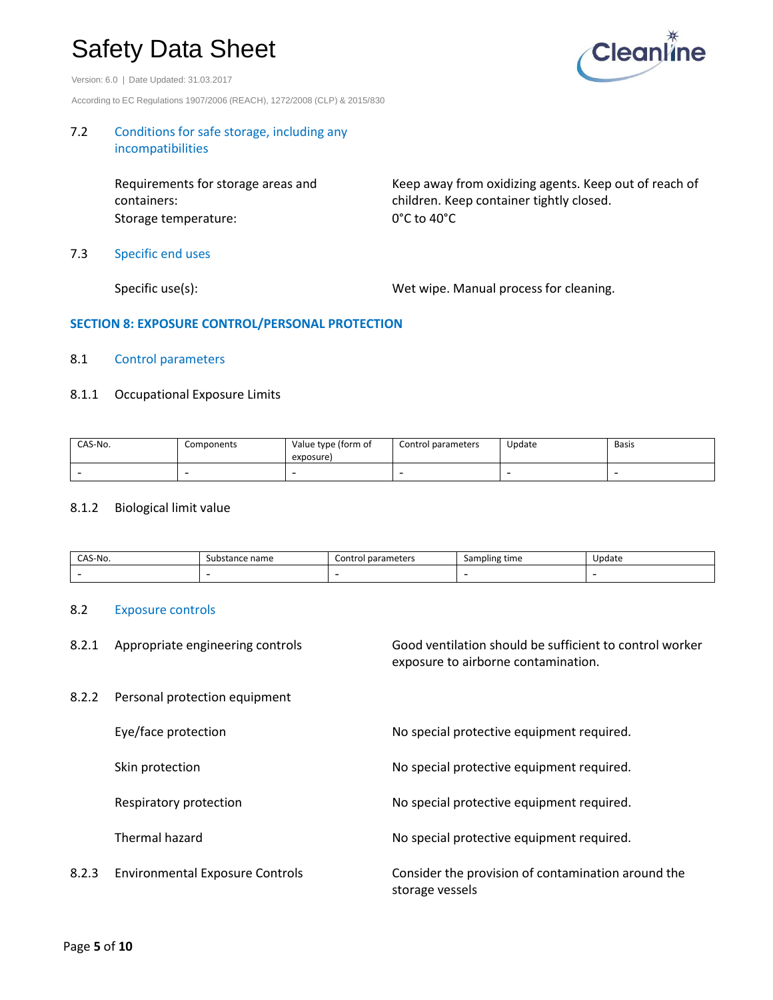Version: 6.0 | Date Updated: 31.03.2017

According to EC Regulations 1907/2006 (REACH), 1272/2008 (CLP) & 2015/830

# **Cleanline**

#### 7.2 Conditions for safe storage, including any incompatibilities

Requirements for storage areas and containers: Storage temperature: 0°C to 40°C

Keep away from oxidizing agents. Keep out of reach of children. Keep container tightly closed.

7.3 Specific end uses

Specific use(s): Specific use(s): Wet wipe. Manual process for cleaning.

#### **SECTION 8: EXPOSURE CONTROL/PERSONAL PROTECTION**

#### 8.1 Control parameters

#### 8.1.1 Occupational Exposure Limits

| CAS-No. | Components | Value type (form of<br>exposure) | Control parameters | Update | <b>Basis</b> |
|---------|------------|----------------------------------|--------------------|--------|--------------|
|         |            |                                  |                    |        |              |

#### 8.1.2 Biological limit value

| `S-No.<br>٠Λς. | name<br>substance r | parameters<br>Control | Sampling time | Jodate |
|----------------|---------------------|-----------------------|---------------|--------|
|                |                     |                       |               |        |

storage vessels

#### 8.2 Exposure controls

8.2.1 Appropriate engineering controls Good ventilation should be sufficient to control worker exposure to airborne contamination.

8.2.2 Personal protection equipment

Eye/face protection No special protective equipment required.

Skin protection **No special protective equipment required.** No special protective equipment required.

Respiratory protection **No special protective equipment required.** No special protective equipment required.

Thermal hazard **No special protective equipment required.** No special protective equipment required.

8.2.3 Environmental Exposure Controls Consider the provision of contamination around the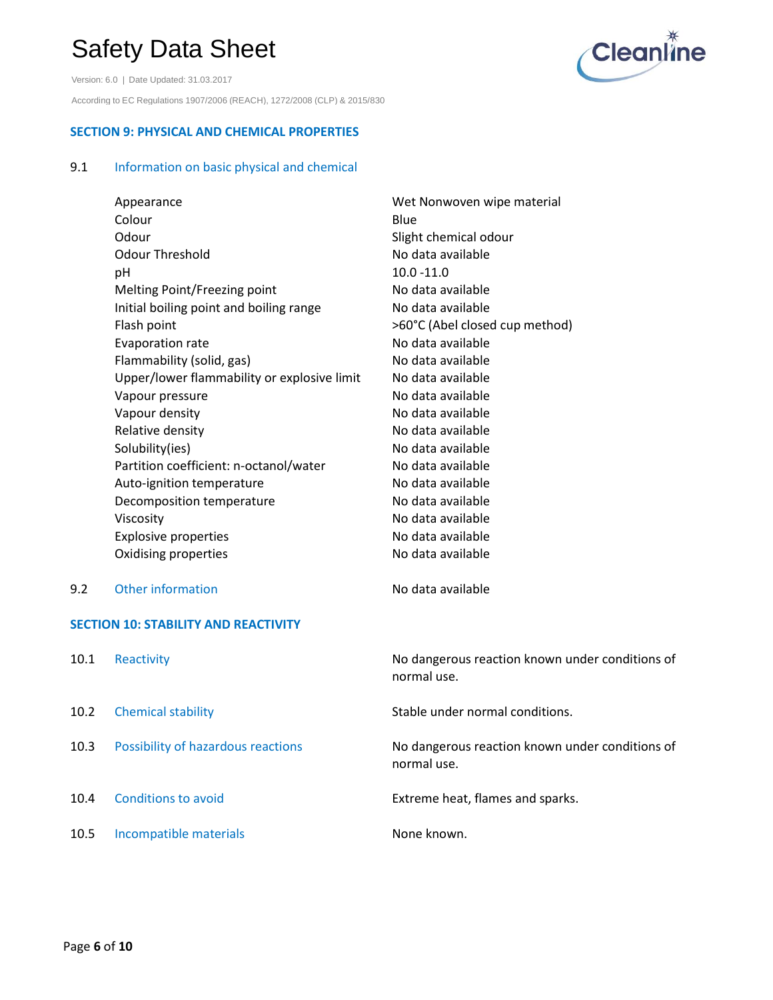Version: 6.0 | Date Updated: 31.03.2017 According to EC Regulations 1907/2006 (REACH), 1272/2008 (CLP) & 2015/830



#### **SECTION 9: PHYSICAL AND CHEMICAL PROPERTIES**

### 9.1 Information on basic physical and chemical

| Appearance                                  | Wet Nonwoven wipe material     |  |  |
|---------------------------------------------|--------------------------------|--|--|
| Colour                                      | Blue                           |  |  |
| Odour                                       | Slight chemical odour          |  |  |
| <b>Odour Threshold</b>                      | No data available              |  |  |
| рH                                          | $10.0 - 11.0$                  |  |  |
| Melting Point/Freezing point                | No data available              |  |  |
| Initial boiling point and boiling range     | No data available              |  |  |
| Flash point                                 | >60°C (Abel closed cup method) |  |  |
| <b>Evaporation rate</b>                     | No data available              |  |  |
| Flammability (solid, gas)                   | No data available              |  |  |
| Upper/lower flammability or explosive limit | No data available              |  |  |
| Vapour pressure                             | No data available              |  |  |
| Vapour density                              | No data available              |  |  |
| Relative density                            | No data available              |  |  |
| Solubility(ies)                             | No data available              |  |  |
| Partition coefficient: n-octanol/water      | No data available              |  |  |
| Auto-ignition temperature                   | No data available              |  |  |
| Decomposition temperature                   | No data available              |  |  |
| Viscosity                                   | No data available              |  |  |
| <b>Explosive properties</b>                 | No data available              |  |  |
| Oxidising properties                        | No data available              |  |  |

9.2 Other information Channel Controller No data available

#### **SECTION 10: STABILITY AND REACTIVITY**

| 10.1 | Reactivity                         | No dangerous reaction known under conditions of<br>normal use. |
|------|------------------------------------|----------------------------------------------------------------|
| 10.2 | <b>Chemical stability</b>          | Stable under normal conditions.                                |
| 10.3 | Possibility of hazardous reactions | No dangerous reaction known under conditions of<br>normal use. |
| 10.4 | <b>Conditions to avoid</b>         | Extreme heat, flames and sparks.                               |
| 10.5 | Incompatible materials             | None known.                                                    |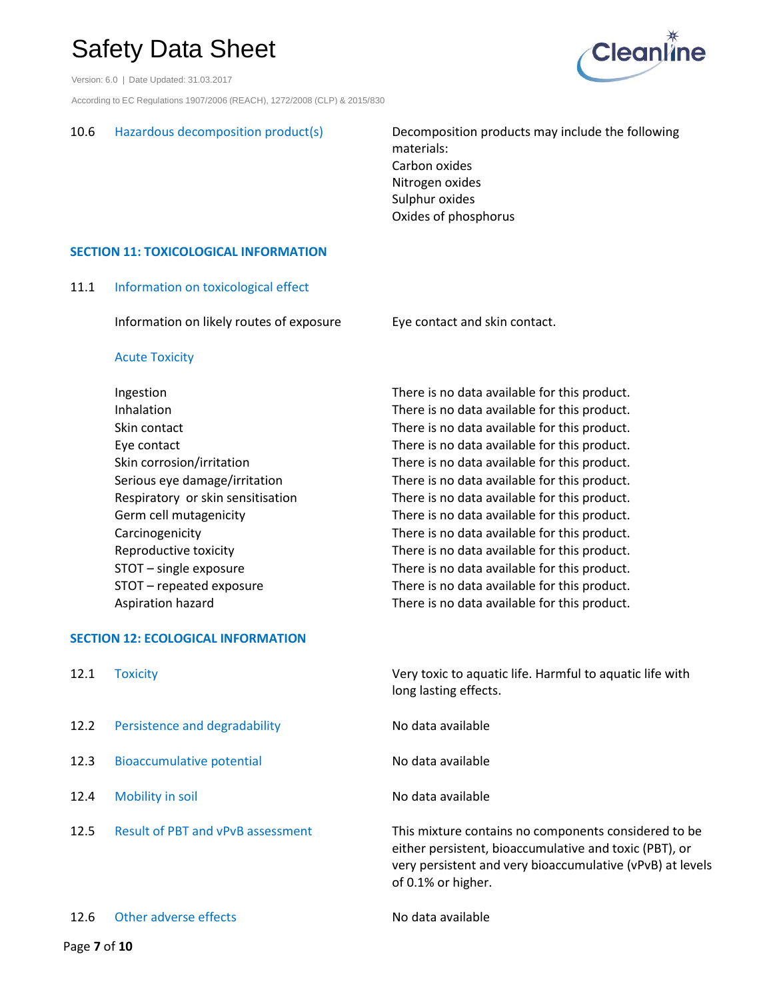Version: 6.0 | Date Updated: 31.03.2017

According to EC Regulations 1907/2006 (REACH), 1272/2008 (CLP) & 2015/830

10.6 Hazardous decomposition product(s) Decomposition products may include the following materials: Carbon oxides Nitrogen oxides Sulphur oxides Oxides of phosphorus

#### **SECTION 11: TOXICOLOGICAL INFORMATION**

11.1 Information on toxicological effect

Information on likely routes of exposure Eye contact and skin contact.

#### Acute Toxicity

Ingestion There is no data available for this product. Inhalation There is no data available for this product. Skin contact **There is no data available for this product.** Eye contact There is no data available for this product. Skin corrosion/irritation There is no data available for this product. Serious eye damage/irritation There is no data available for this product. Respiratory or skin sensitisation There is no data available for this product. Germ cell mutagenicity There is no data available for this product. Carcinogenicity There is no data available for this product. Reproductive toxicity There is no data available for this product. STOT – single exposure There is no data available for this product. STOT – repeated exposure There is no data available for this product. Aspiration hazard There is no data available for this product.

#### **SECTION 12: ECOLOGICAL INFORMATION**

| 12.1 | <b>Toxicity</b>                          | Very toxic to aquatic life. Harmful to aquatic life with<br>long lasting effects.                                                                                                                 |
|------|------------------------------------------|---------------------------------------------------------------------------------------------------------------------------------------------------------------------------------------------------|
| 12.2 | Persistence and degradability            | No data available                                                                                                                                                                                 |
| 12.3 | <b>Bioaccumulative potential</b>         | No data available                                                                                                                                                                                 |
| 12.4 | Mobility in soil                         | No data available                                                                                                                                                                                 |
| 12.5 | <b>Result of PBT and vPvB assessment</b> | This mixture contains no components considered to be<br>either persistent, bioaccumulative and toxic (PBT), or<br>very persistent and very bioaccumulative (vPvB) at levels<br>of 0.1% or higher. |

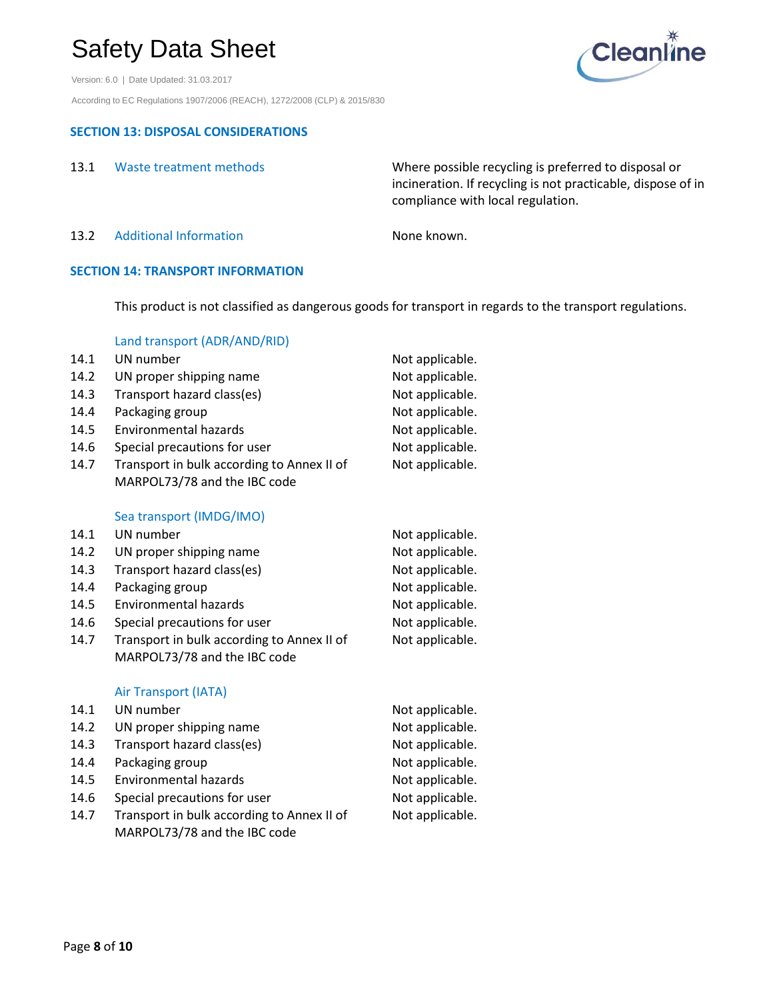Version: 6.0 | Date Updated: 31.03.2017 According to EC Regulations 1907/2006 (REACH), 1272/2008 (CLP) & 2015/830

### **SECTION 13: DISPOSAL CONSIDERATIONS**

| 13.1 | Waste treatment methods | Where possible recycling is preferred to disposal or         |
|------|-------------------------|--------------------------------------------------------------|
|      |                         | incineration. If recycling is not practicable, dispose of in |
|      |                         | compliance with local regulation.                            |
|      |                         |                                                              |

13.2 Additional Information None known.

#### **SECTION 14: TRANSPORT INFORMATION**

This product is not classified as dangerous goods for transport in regards to the transport regulations.

|      | Land transport (ADR/AND/RID)               |                 |
|------|--------------------------------------------|-----------------|
| 14.1 | UN number                                  | Not applicable. |
| 14.2 | UN proper shipping name                    | Not applicable. |
| 14.3 | Transport hazard class(es)                 | Not applicable. |
| 14.4 | Packaging group                            | Not applicable. |
| 14.5 | Environmental hazards                      | Not applicable. |
| 14.6 | Special precautions for user               | Not applicable. |
| 14.7 | Transport in bulk according to Annex II of | Not applicable. |
|      | MARPOL73/78 and the IBC code               |                 |
|      |                                            |                 |
|      |                                            |                 |

#### Sea transport (IMDG/IMO)

| 14.1 | UN number                                  | Not applicable. |
|------|--------------------------------------------|-----------------|
| 14.2 | UN proper shipping name                    | Not applicable. |
| 14.3 | Transport hazard class(es)                 | Not applicable. |
| 14.4 | Packaging group                            | Not applicable. |
| 14.5 | Environmental hazards                      | Not applicable. |
| 14.6 | Special precautions for user               | Not applicable. |
| 14.7 | Transport in bulk according to Annex II of | Not applicable. |
|      | MARPOL73/78 and the IBC code               |                 |

#### Air Transport (IATA)

| 14.1 | UN number                                  | Not applicable. |
|------|--------------------------------------------|-----------------|
| 14.2 | UN proper shipping name                    | Not applicable. |
| 14.3 | Transport hazard class(es)                 | Not applicable. |
| 14.4 | Packaging group                            | Not applicable. |
| 14.5 | Environmental hazards                      | Not applicable. |
| 14.6 | Special precautions for user               | Not applicable. |
| 14.7 | Transport in bulk according to Annex II of | Not applicable. |
|      | MARPOL73/78 and the IBC code               |                 |

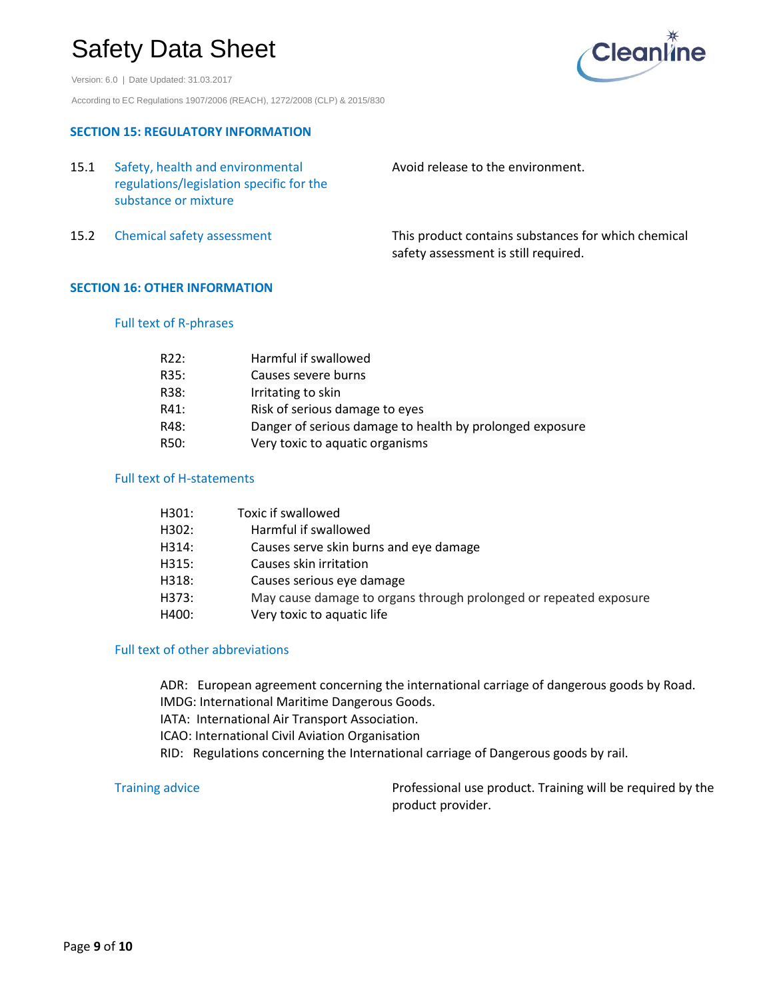Version: 6.0 | Date Updated: 31.03.2017 According to EC Regulations 1907/2006 (REACH), 1272/2008 (CLP) & 2015/830



#### **SECTION 15: REGULATORY INFORMATION**

| 15.1 | Safety, health and environmental<br>regulations/legislation specific for the<br>substance or mixture | Avoid release to the environment.                                                           |
|------|------------------------------------------------------------------------------------------------------|---------------------------------------------------------------------------------------------|
|      | 15.2 Chemical safety assessment                                                                      | This product contains substances for which chemical<br>safety assessment is still required. |

#### **SECTION 16: OTHER INFORMATION**

#### Full text of R-phrases

| R22: | Harmful if swallowed                                     |
|------|----------------------------------------------------------|
| R35: | Causes severe burns                                      |
| R38: | Irritating to skin                                       |
| R41: | Risk of serious damage to eyes                           |
| R48: | Danger of serious damage to health by prolonged exposure |
| R50: | Very toxic to aquatic organisms                          |

#### Full text of H-statements

| H301: | Toxic if swallowed                                                |
|-------|-------------------------------------------------------------------|
| H302: | Harmful if swallowed                                              |
| H314: | Causes serve skin burns and eye damage                            |
| H315: | Causes skin irritation                                            |
| H318: | Causes serious eye damage                                         |
| H373: | May cause damage to organs through prolonged or repeated exposure |
| H400: | Very toxic to aquatic life                                        |
|       |                                                                   |

#### Full text of other abbreviations

ADR: European agreement concerning the international carriage of dangerous goods by Road. IMDG: International Maritime Dangerous Goods. IATA: International Air Transport Association. ICAO: International Civil Aviation Organisation RID: Regulations concerning the International carriage of Dangerous goods by rail.

Training advice **Professional use product.** Training will be required by the product provider.